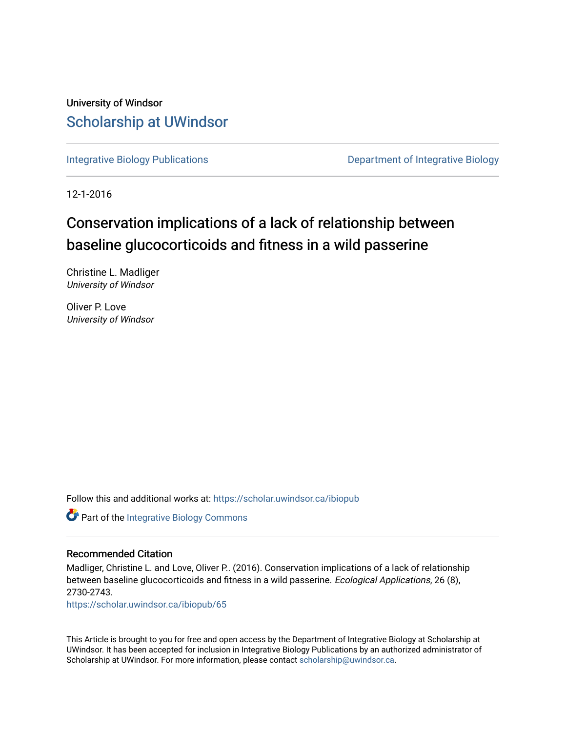University of Windsor [Scholarship at UWindsor](https://scholar.uwindsor.ca/) 

[Integrative Biology Publications](https://scholar.uwindsor.ca/ibiopub) **Department of Integrative Biology** 

12-1-2016

# Conservation implications of a lack of relationship between baseline glucocorticoids and fitness in a wild passerine

Christine L. Madliger University of Windsor

Oliver P. Love University of Windsor

Follow this and additional works at: [https://scholar.uwindsor.ca/ibiopub](https://scholar.uwindsor.ca/ibiopub?utm_source=scholar.uwindsor.ca%2Fibiopub%2F65&utm_medium=PDF&utm_campaign=PDFCoverPages) 

Part of the [Integrative Biology Commons](https://network.bepress.com/hgg/discipline/1302?utm_source=scholar.uwindsor.ca%2Fibiopub%2F65&utm_medium=PDF&utm_campaign=PDFCoverPages) 

### Recommended Citation

Madliger, Christine L. and Love, Oliver P.. (2016). Conservation implications of a lack of relationship between baseline glucocorticoids and fitness in a wild passerine. Ecological Applications, 26 (8), 2730-2743.

[https://scholar.uwindsor.ca/ibiopub/65](https://scholar.uwindsor.ca/ibiopub/65?utm_source=scholar.uwindsor.ca%2Fibiopub%2F65&utm_medium=PDF&utm_campaign=PDFCoverPages)

This Article is brought to you for free and open access by the Department of Integrative Biology at Scholarship at UWindsor. It has been accepted for inclusion in Integrative Biology Publications by an authorized administrator of Scholarship at UWindsor. For more information, please contact [scholarship@uwindsor.ca.](mailto:scholarship@uwindsor.ca)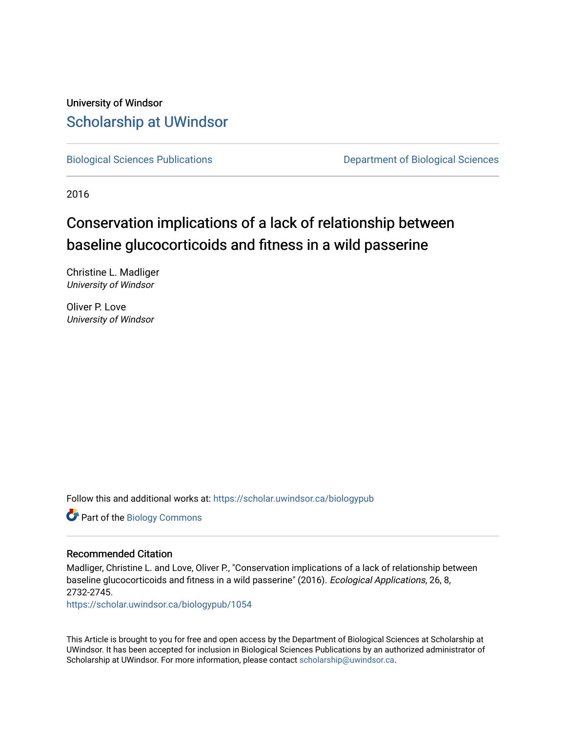## University of Windsor [Scholarship at UWindsor](https://scholar.uwindsor.ca/)

[Biological Sciences Publications](https://scholar.uwindsor.ca/biologypub) **Department of Biological Sciences** 

2016

# Conservation implications of a lack of relationship between baseline glucocorticoids and fitness in a wild passerine

Christine L. Madliger University of Windsor

Oliver P. Love University of Windsor

Follow this and additional works at: [https://scholar.uwindsor.ca/biologypub](https://scholar.uwindsor.ca/biologypub?utm_source=scholar.uwindsor.ca%2Fbiologypub%2F1054&utm_medium=PDF&utm_campaign=PDFCoverPages) 

Part of the [Biology Commons](http://network.bepress.com/hgg/discipline/41?utm_source=scholar.uwindsor.ca%2Fbiologypub%2F1054&utm_medium=PDF&utm_campaign=PDFCoverPages) 

### Recommended Citation

Madliger, Christine L. and Love, Oliver P., "Conservation implications of a lack of relationship between baseline glucocorticoids and fitness in a wild passerine" (2016). Ecological Applications, 26, 8, 2732-2745.

[https://scholar.uwindsor.ca/biologypub/1054](https://scholar.uwindsor.ca/biologypub/1054?utm_source=scholar.uwindsor.ca%2Fbiologypub%2F1054&utm_medium=PDF&utm_campaign=PDFCoverPages)

This Article is brought to you for free and open access by the Department of Biological Sciences at Scholarship at UWindsor. It has been accepted for inclusion in Biological Sciences Publications by an authorized administrator of Scholarship at UWindsor. For more information, please contact [scholarship@uwindsor.ca.](mailto:scholarship@uwindsor.ca)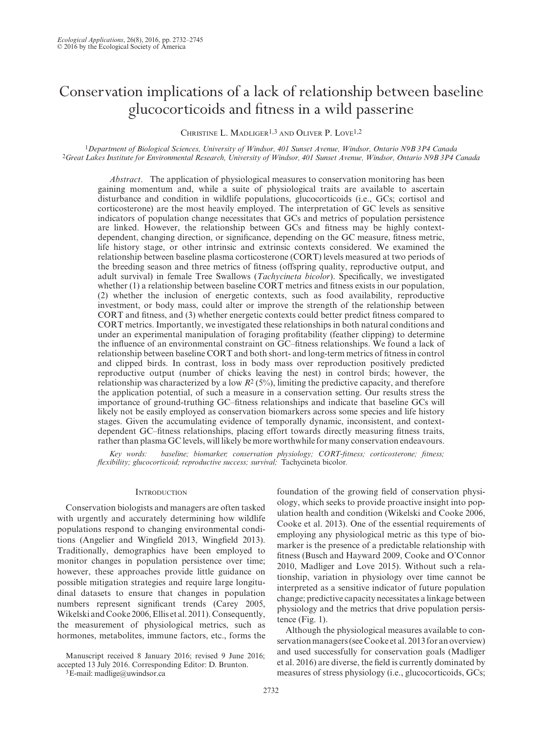## Conservation implications of a lack of relationship between baseline glucocorticoids and fitness in a wild passerine

CHRISTINE L. MADLIGER<sup>1,3</sup> AND OLIVER P. LOVE<sup>1,2</sup>

1*Department of Biological Sciences, University of Windsor, 401 Sunset Avenue, Windsor, Ontario N9B 3P4 Canada* 2*Great Lakes Institute for Environmental Research, University of Windsor, 401 Sunset Avenue, Windsor, Ontario N9B 3P4 Canada*

*Abstract*. The application of physiological measures to conservation monitoring has been gaining momentum and, while a suite of physiological traits are available to ascertain disturbance and condition in wildlife populations, glucocorticoids (i.e., GCs; cortisol and corticosterone) are the most heavily employed. The interpretation of GC levels as sensitive indicators of population change necessitates that GCs and metrics of population persistence are linked. However, the relationship between GCs and fitness may be highly contextdependent, changing direction, or significance, depending on the GC measure, fitness metric, life history stage, or other intrinsic and extrinsic contexts considered. We examined the relationship between baseline plasma corticosterone (CORT) levels measured at two periods of the breeding season and three metrics of fitness (offspring quality, reproductive output, and adult survival) in female Tree Swallows (*Tachycineta bicolor*). Specifically, we investigated whether (1) a relationship between baseline CORT metrics and fitness exists in our population, (2) whether the inclusion of energetic contexts, such as food availability, reproductive investment, or body mass, could alter or improve the strength of the relationship between CORT and fitness, and (3) whether energetic contexts could better predict fitness compared to CORT metrics. Importantly, we investigated these relationships in both natural conditions and under an experimental manipulation of foraging profitability (feather clipping) to determine the influence of an environmental constraint on GC–fitness relationships. We found a lack of relationship between baseline CORT and both short- and long-term metrics of fitness in control and clipped birds. In contrast, loss in body mass over reproduction positively predicted reproductive output (number of chicks leaving the nest) in control birds; however, the relationship was characterized by a low  $R^2$  (5%), limiting the predictive capacity, and therefore the application potential, of such a measure in a conservation setting. Our results stress the importance of ground-truthing GC–fitness relationships and indicate that baseline GCs will likely not be easily employed as conservation biomarkers across some species and life history stages. Given the accumulating evidence of temporally dynamic, inconsistent, and contextdependent GC–fitness relationships, placing effort towards directly measuring fitness traits, rather than plasma GC levels, will likely be more worthwhile for many conservation endeavours.

*Key words: baseline; biomarker; conservation physiology; CORT-fitness; corticosterone; fitness; flexibility; glucocorticoid; reproductive success; survival;* Tachycineta bicolor*.*

#### **INTRODUCTION**

Conservation biologists and managers are often tasked with urgently and accurately determining how wildlife populations respond to changing environmental conditions (Angelier and Wingfield 2013, Wingfield 2013). Traditionally, demographics have been employed to monitor changes in population persistence over time; however, these approaches provide little guidance on possible mitigation strategies and require large longitudinal datasets to ensure that changes in population numbers represent significant trends (Carey 2005, Wikelski and Cooke 2006, Ellis et al. 2011). Consequently, the measurement of physiological metrics, such as hormones, metabolites, immune factors, etc., forms the

Manuscript received 8 January 2016; revised 9 June 2016; accepted 13 July 2016. Corresponding Editor: D. Brunton.

 $3\overline{E}$ -mail: [madlige@uwindsor.ca](mailto:madlige@uwindsor.ca)

foundation of the growing field of conservation physiology, which seeks to provide proactive insight into population health and condition (Wikelski and Cooke 2006, Cooke et al. 2013). One of the essential requirements of employing any physiological metric as this type of biomarker is the presence of a predictable relationship with fitness (Busch and Hayward 2009, Cooke and O'Connor 2010, Madliger and Love 2015). Without such a relationship, variation in physiology over time cannot be interpreted as a sensitive indicator of future population change; predictive capacity necessitates a linkage between physiology and the metrics that drive population persistence (Fig. 1).

Although the physiological measures available to conservation managers (see Cooke et al. 2013 for an overview) and used successfully for conservation goals (Madliger et al. 2016) are diverse, the field is currently dominated by measures of stress physiology (i.e., glucocorticoids, GCs;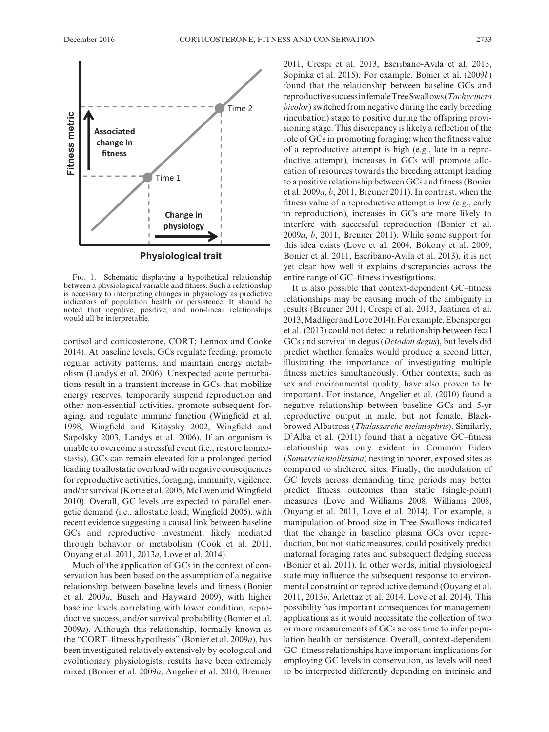

Fig. 1. Schematic displaying a hypothetical relationship between a physiological variable and fitness. Such a relationship is necessary to interpreting changes in physiology as predictive indicators of population health or persistence. It should be noted that negative, positive, and non-linear relationships would all be interpretable.

cortisol and corticosterone, CORT; Lennox and Cooke 2014). At baseline levels, GCs regulate feeding, promote regular activity patterns, and maintain energy metabolism (Landys et al. 2006). Unexpected acute perturbations result in a transient increase in GCs that mobilize energy reserves, temporarily suspend reproduction and other non-essential activities, promote subsequent foraging, and regulate immune function (Wingfield et al. 1998, Wingfield and Kitaysky 2002, Wingfield and Sapolsky 2003, Landys et al. 2006). If an organism is unable to overcome a stressful event (i.e., restore homeostasis), GCs can remain elevated for a prolonged period leading to allostatic overload with negative consequences for reproductive activities, foraging, immunity, vigilence, and/or survival (Korte et al. 2005, McEwen and Wingfield 2010). Overall, GC levels are expected to parallel energetic demand (i.e., allostatic load; Wingfield 2005), with recent evidence suggesting a causal link between baseline GCs and reproductive investment, likely mediated through behavior or metabolism (Cook et al. 2011, Ouyang et al. 2011, 2013*a*, Love et al. 2014).

Much of the application of GCs in the context of conservation has been based on the assumption of a negative relationship between baseline levels and fitness (Bonier et al. 2009*a*, Busch and Hayward 2009), with higher baseline levels correlating with lower condition, reproductive success, and/or survival probability (Bonier et al. 2009*a*). Although this relationship, formally known as the "CORT–fitness hypothesis" (Bonier et al. 2009*a*), has been investigated relatively extensively by ecological and evolutionary physiologists, results have been extremely mixed (Bonier et al. 2009*a*, Angelier et al. 2010, Breuner 2011, Crespi et al. 2013, Escribano-Avila et al. 2013, Sopinka et al. 2015). For example, Bonier et al. (2009*b*) found that the relationship between baseline GCs and reproductive success in female Tree Swallows (*Tachycineta bicolor*) switched from negative during the early breeding (incubation) stage to positive during the offspring provisioning stage. This discrepancy is likely a reflection of the role of GCs in promoting foraging; when the fitness value of a reproductive attempt is high (e.g., late in a reproductive attempt), increases in GCs will promote allocation of resources towards the breeding attempt leading to a positive relationship between GCs and fitness (Bonier et al. 2009*a*, *b*, 2011, Breuner 2011). In contrast, when the fitness value of a reproductive attempt is low (e.g., early in reproduction), increases in GCs are more likely to interfere with successful reproduction (Bonier et al. 2009*a*, *b*, 2011, Breuner 2011). While some support for this idea exists (Love et al. 2004, Bókony et al. 2009, Bonier et al. 2011, Escribano-Avila et al. 2013), it is not yet clear how well it explains discrepancies across the entire range of GC–fitness investigations.

It is also possible that context-dependent GC–fitness relationships may be causing much of the ambiguity in results (Breuner 2011, Crespi et al. 2013, Jaatinen et al. 2013, Madliger and Love 2014). For example, Ebensperger et al. (2013) could not detect a relationship between fecal GCs and survival in degus (*Octodon degus*), but levels did predict whether females would produce a second litter, illustrating the importance of investigating multiple fitness metrics simultaneously. Other contexts, such as sex and environmental quality, have also proven to be important. For instance, Angelier et al. (2010) found a negative relationship between baseline GCs and 5-yr reproductive output in male, but not female, Blackbrowed Albatross (*Thalassarche melanophris*). Similarly, D'Alba et al. (2011) found that a negative GC–fitness relationship was only evident in Common Eiders (*Somateria mollissima*) nesting in poorer, exposed sites as compared to sheltered sites. Finally, the modulation of GC levels across demanding time periods may better predict fitness outcomes than static (single-point) measures (Love and Williams 2008, Williams 2008, Ouyang et al. 2011, Love et al. 2014). For example, a manipulation of brood size in Tree Swallows indicated that the change in baseline plasma GCs over reproduction, but not static measures, could positively predict maternal foraging rates and subsequent fledging success (Bonier et al. 2011). In other words, initial physiological state may influence the subsequent response to environmental constraint or reproductive demand (Ouyang et al. 2011, 2013*b*, Arlettaz et al. 2014, Love et al. 2014). This possibility has important consequences for management applications as it would necessitate the collection of two or more measurements of GCs across time to infer population health or persistence. Overall, context-dependent GC–fitness relationships have important implications for employing GC levels in conservation, as levels will need to be interpreted differently depending on intrinsic and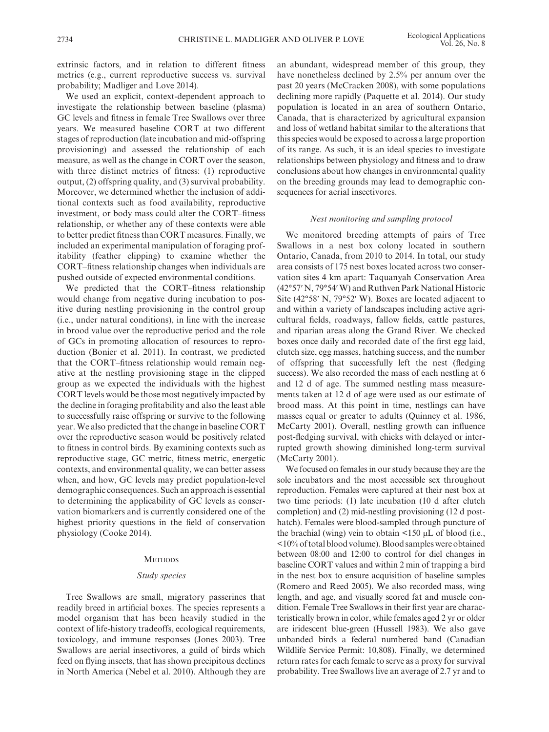extrinsic factors, and in relation to different fitness metrics (e.g., current reproductive success vs. survival probability; Madliger and Love 2014).

We used an explicit, context-dependent approach to investigate the relationship between baseline (plasma) GC levels and fitness in female Tree Swallows over three years. We measured baseline CORT at two different stages of reproduction (late incubation and mid-offspring provisioning) and assessed the relationship of each measure, as well as the change in CORT over the season, with three distinct metrics of fitness: (1) reproductive output, (2) offspring quality, and (3) survival probability. Moreover, we determined whether the inclusion of additional contexts such as food availability, reproductive investment, or body mass could alter the CORT–fitness relationship, or whether any of these contexts were able to better predict fitness than CORT measures. Finally, we included an experimental manipulation of foraging profitability (feather clipping) to examine whether the CORT–fitness relationship changes when individuals are pushed outside of expected environmental conditions.

We predicted that the CORT–fitness relationship would change from negative during incubation to positive during nestling provisioning in the control group (i.e., under natural conditions), in line with the increase in brood value over the reproductive period and the role of GCs in promoting allocation of resources to reproduction (Bonier et al. 2011). In contrast, we predicted that the CORT–fitness relationship would remain negative at the nestling provisioning stage in the clipped group as we expected the individuals with the highest CORT levels would be those most negatively impacted by the decline in foraging profitability and also the least able to successfully raise offspring or survive to the following year. We also predicted that the change in baseline CORT over the reproductive season would be positively related to fitness in control birds. By examining contexts such as reproductive stage, GC metric, fitness metric, energetic contexts, and environmental quality, we can better assess when, and how, GC levels may predict population-level demographic consequences. Such an approach is essential to determining the applicability of GC levels as conservation biomarkers and is currently considered one of the highest priority questions in the field of conservation physiology (Cooke 2014).

#### **METHODS**

#### *Study species*

Tree Swallows are small, migratory passerines that readily breed in artificial boxes. The species represents a model organism that has been heavily studied in the context of life-history tradeoffs, ecological requirements, toxicology, and immune responses (Jones 2003). Tree Swallows are aerial insectivores, a guild of birds which feed on flying insects, that has shown precipitous declines in North America (Nebel et al. 2010). Although they are

an abundant, widespread member of this group, they have nonetheless declined by 2.5% per annum over the past 20 years (McCracken 2008), with some populations declining more rapidly (Paquette et al. 2014). Our study population is located in an area of southern Ontario, Canada, that is characterized by agricultural expansion and loss of wetland habitat similar to the alterations that this species would be exposed to across a large proportion of its range. As such, it is an ideal species to investigate relationships between physiology and fitness and to draw conclusions about how changes in environmental quality on the breeding grounds may lead to demographic consequences for aerial insectivores.

#### *Nest monitoring and sampling protocol*

We monitored breeding attempts of pairs of Tree Swallows in a nest box colony located in southern Ontario, Canada, from 2010 to 2014. In total, our study area consists of 175 nest boxes located across two conservation sites 4 km apart: Taquanyah Conservation Area (42°57′ N, 79°54′W) and Ruthven Park National Historic Site (42°58′ N, 79°52′ W). Boxes are located adjacent to and within a variety of landscapes including active agricultural fields, roadways, fallow fields, cattle pastures, and riparian areas along the Grand River. We checked boxes once daily and recorded date of the first egg laid, clutch size, egg masses, hatching success, and the number of offspring that successfully left the nest (fledging success). We also recorded the mass of each nestling at 6 and 12 d of age. The summed nestling mass measurements taken at 12 d of age were used as our estimate of brood mass. At this point in time, nestlings can have masses equal or greater to adults (Quinney et al. 1986, McCarty 2001). Overall, nestling growth can influence post-fledging survival, with chicks with delayed or interrupted growth showing diminished long-term survival (McCarty 2001).

We focused on females in our study because they are the sole incubators and the most accessible sex throughout reproduction. Females were captured at their nest box at two time periods: (1) late incubation (10 d after clutch completion) and (2) mid-nestling provisioning (12 d posthatch). Females were blood-sampled through puncture of the brachial (wing) vein to obtain <150 μL of blood (i.e., <10% of total blood volume). Blood samples were obtained between 08:00 and 12:00 to control for diel changes in baseline CORT values and within 2 min of trapping a bird in the nest box to ensure acquisition of baseline samples (Romero and Reed 2005). We also recorded mass, wing length, and age, and visually scored fat and muscle condition. Female Tree Swallows in their first year are characteristically brown in color, while females aged 2 yr or older are iridescent blue-green (Hussell 1983). We also gave unbanded birds a federal numbered band (Canadian Wildlife Service Permit: 10,808). Finally, we determined return rates for each female to serve as a proxy for survival probability. Tree Swallows live an average of 2.7 yr and to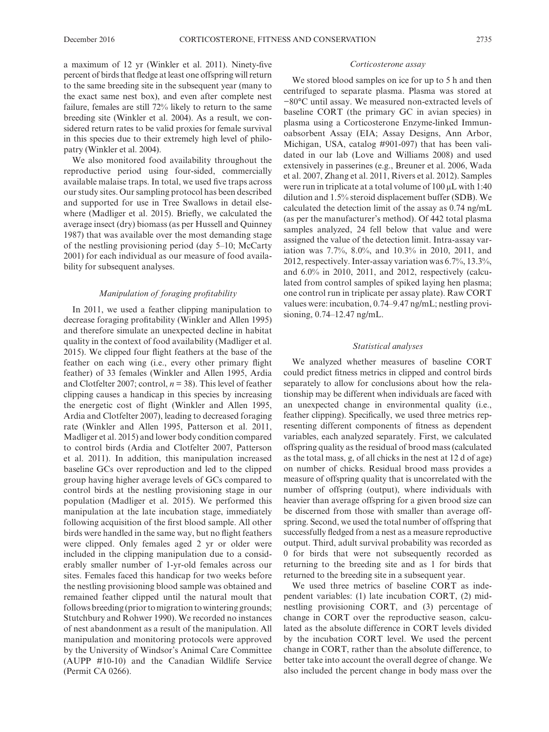a maximum of 12 yr (Winkler et al. 2011). Ninety-five percent of birds that fledge at least one offspring will return to the same breeding site in the subsequent year (many to the exact same nest box), and even after complete nest failure, females are still 72% likely to return to the same breeding site (Winkler et al. 2004). As a result, we considered return rates to be valid proxies for female survival in this species due to their extremely high level of philopatry (Winkler et al. 2004).

We also monitored food availability throughout the reproductive period using four-sided, commercially available malaise traps. In total, we used five traps across our study sites. Our sampling protocol has been described and supported for use in Tree Swallows in detail elsewhere (Madliger et al. 2015). Briefly, we calculated the average insect (dry) biomass (as per Hussell and Quinney 1987) that was available over the most demanding stage of the nestling provisioning period (day 5–10; McCarty 2001) for each individual as our measure of food availability for subsequent analyses.

#### *Manipulation of foraging profitability*

In 2011, we used a feather clipping manipulation to decrease foraging profitability (Winkler and Allen 1995) and therefore simulate an unexpected decline in habitat quality in the context of food availability (Madliger et al. 2015). We clipped four flight feathers at the base of the feather on each wing (i.e., every other primary flight feather) of 33 females (Winkler and Allen 1995, Ardia and Clotfelter 2007; control, *n* = 38). This level of feather clipping causes a handicap in this species by increasing the energetic cost of flight (Winkler and Allen 1995, Ardia and Clotfelter 2007), leading to decreased foraging rate (Winkler and Allen 1995, Patterson et al. 2011, Madliger et al. 2015) and lower body condition compared to control birds (Ardia and Clotfelter 2007, Patterson et al. 2011). In addition, this manipulation increased baseline GCs over reproduction and led to the clipped group having higher average levels of GCs compared to control birds at the nestling provisioning stage in our population (Madliger et al. 2015). We performed this manipulation at the late incubation stage, immediately following acquisition of the first blood sample. All other birds were handled in the same way, but no flight feathers were clipped. Only females aged 2 yr or older were included in the clipping manipulation due to a considerably smaller number of 1-yr-old females across our sites. Females faced this handicap for two weeks before the nestling provisioning blood sample was obtained and remained feather clipped until the natural moult that follows breeding (prior to migration to wintering grounds; Stutchbury and Rohwer 1990). We recorded no instances of nest abandonment as a result of the manipulation. All manipulation and monitoring protocols were approved by the University of Windsor's Animal Care Committee (AUPP #10-10) and the Canadian Wildlife Service (Permit CA 0266).

#### *Corticosterone assay*

We stored blood samples on ice for up to 5 h and then centrifuged to separate plasma. Plasma was stored at −80°C until assay. We measured non-extracted levels of baseline CORT (the primary GC in avian species) in plasma using a Corticosterone Enzyme-linked Immunoabsorbent Assay (EIA; Assay Designs, Ann Arbor, Michigan, USA, catalog #901-097) that has been validated in our lab (Love and Williams 2008) and used extensively in passerines (e.g., Breuner et al. 2006, Wada et al. 2007, Zhang et al. 2011, Rivers et al. 2012). Samples were run in triplicate at a total volume of 100 μL with 1:40 dilution and 1.5% steroid displacement buffer (SDB). We calculated the detection limit of the assay as 0.74 ng/mL (as per the manufacturer's method). Of 442 total plasma samples analyzed, 24 fell below that value and were assigned the value of the detection limit. Intra-assay variation was 7.7%, 8.0%, and 10.3% in 2010, 2011, and 2012, respectively. Inter-assay variation was 6.7%, 13.3%, and 6.0% in 2010, 2011, and 2012, respectively (calculated from control samples of spiked laying hen plasma; one control run in triplicate per assay plate). Raw CORT values were: incubation, 0.74–9.47 ng/mL; nestling provisioning, 0.74–12.47 ng/mL.

#### *Statistical analyses*

We analyzed whether measures of baseline CORT could predict fitness metrics in clipped and control birds separately to allow for conclusions about how the relationship may be different when individuals are faced with an unexpected change in environmental quality (i.e., feather clipping). Specifically, we used three metrics representing different components of fitness as dependent variables, each analyzed separately. First, we calculated offspring quality as the residual of brood mass (calculated as the total mass, g, of all chicks in the nest at 12 d of age) on number of chicks. Residual brood mass provides a measure of offspring quality that is uncorrelated with the number of offspring (output), where individuals with heavier than average offspring for a given brood size can be discerned from those with smaller than average offspring. Second, we used the total number of offspring that successfully fledged from a nest as a measure reproductive output. Third, adult survival probability was recorded as 0 for birds that were not subsequently recorded as returning to the breeding site and as 1 for birds that returned to the breeding site in a subsequent year.

We used three metrics of baseline CORT as independent variables: (1) late incubation CORT, (2) midnestling provisioning CORT, and (3) percentage of change in CORT over the reproductive season, calculated as the absolute difference in CORT levels divided by the incubation CORT level. We used the percent change in CORT, rather than the absolute difference, to better take into account the overall degree of change. We also included the percent change in body mass over the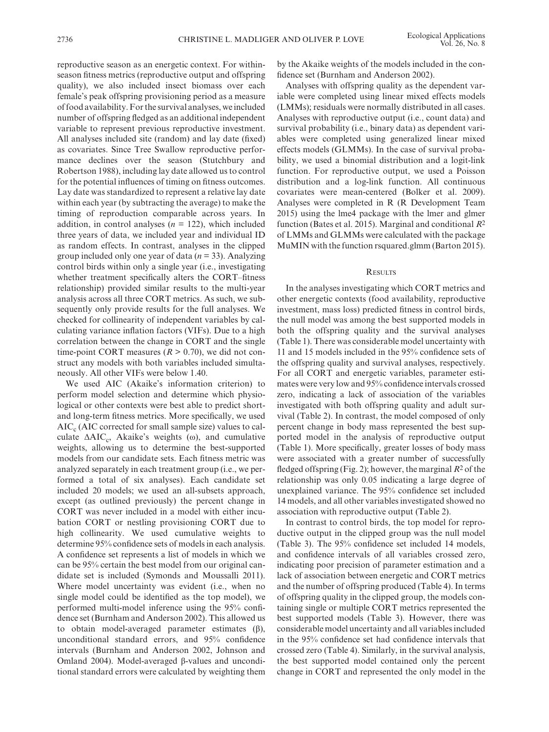reproductive season as an energetic context. For withinseason fitness metrics (reproductive output and offspring quality), we also included insect biomass over each female's peak offspring provisioning period as a measure of food availability. For the survival analyses, we included number of offspring fledged as an additional independent variable to represent previous reproductive investment. All analyses included site (random) and lay date (fixed) as covariates. Since Tree Swallow reproductive performance declines over the season (Stutchbury and Robertson 1988), including lay date allowed us to control for the potential influences of timing on fitness outcomes. Lay date was standardized to represent a relative lay date within each year (by subtracting the average) to make the timing of reproduction comparable across years. In addition, in control analyses  $(n = 122)$ , which included three years of data, we included year and individual ID as random effects. In contrast, analyses in the clipped group included only one year of data (*n* = 33). Analyzing control birds within only a single year (i.e., investigating whether treatment specifically alters the CORT–fitness relationship) provided similar results to the multi-year analysis across all three CORT metrics. As such, we subsequently only provide results for the full analyses. We checked for collinearity of independent variables by calculating variance inflation factors (VIFs). Due to a high correlation between the change in CORT and the single time-point CORT measures  $(R > 0.70)$ , we did not construct any models with both variables included simultaneously. All other VIFs were below 1.40.

We used AIC (Akaike's information criterion) to perform model selection and determine which physiological or other contexts were best able to predict shortand long-term fitness metrics. More specifically, we used  $AIC<sub>c</sub> (AIC corrected for small sample size) values to cal$ culate  $\Delta AIC_c$ , Akaike's weights (ω), and cumulative weights, allowing us to determine the best-supported models from our candidate sets. Each fitness metric was analyzed separately in each treatment group (i.e., we performed a total of six analyses). Each candidate set included 20 models; we used an all-subsets approach, except (as outlined previously) the percent change in CORT was never included in a model with either incubation CORT or nestling provisioning CORT due to high collinearity. We used cumulative weights to determine 95% confidence sets of models in each analysis. A confidence set represents a list of models in which we can be 95% certain the best model from our original candidate set is included (Symonds and Moussalli 2011). Where model uncertainty was evident (i.e., when no single model could be identified as the top model), we performed multi-model inference using the 95% confidence set (Burnham and Anderson 2002). This allowed us to obtain model-averaged parameter estimates (β), unconditional standard errors, and 95% confidence intervals (Burnham and Anderson 2002, Johnson and Omland 2004). Model-averaged β-values and unconditional standard errors were calculated by weighting them

by the Akaike weights of the models included in the confidence set (Burnham and Anderson 2002).

Analyses with offspring quality as the dependent variable were completed using linear mixed effects models (LMMs); residuals were normally distributed in all cases. Analyses with reproductive output (i.e., count data) and survival probability (i.e., binary data) as dependent variables were completed using generalized linear mixed effects models (GLMMs). In the case of survival probability, we used a binomial distribution and a logit-link function. For reproductive output, we used a Poisson distribution and a log-link function. All continuous covariates were mean-centered (Bolker et al. 2009). Analyses were completed in R (R Development Team 2015) using the lme4 package with the lmer and glmer function (Bates et al. 2015). Marginal and conditional *R*2 of LMMs and GLMMs were calculated with the package MuMIN with the function rsquared.glmm (Barton 2015).

#### **RESULTS**

In the analyses investigating which CORT metrics and other energetic contexts (food availability, reproductive investment, mass loss) predicted fitness in control birds, the null model was among the best supported models in both the offspring quality and the survival analyses (Table 1). There was considerable model uncertainty with 11 and 15 models included in the 95% confidence sets of the offspring quality and survival analyses, respectively. For all CORT and energetic variables, parameter estimates were very low and 95% confidence intervals crossed zero, indicating a lack of association of the variables investigated with both offspring quality and adult survival (Table 2). In contrast, the model composed of only percent change in body mass represented the best supported model in the analysis of reproductive output (Table 1). More specifically, greater losses of body mass were associated with a greater number of successfully fledged offspring (Fig. 2); however, the marginal *R*2 of the relationship was only 0.05 indicating a large degree of unexplained variance. The 95% confidence set included 14 models, and all other variables investigated showed no association with reproductive output (Table 2).

In contrast to control birds, the top model for reproductive output in the clipped group was the null model (Table 3). The 95% confidence set included 14 models, and confidence intervals of all variables crossed zero, indicating poor precision of parameter estimation and a lack of association between energetic and CORT metrics and the number of offspring produced (Table 4). In terms of offspring quality in the clipped group, the models containing single or multiple CORT metrics represented the best supported models (Table 3). However, there was considerable model uncertainty and all variables included in the 95% confidence set had confidence intervals that crossed zero (Table 4). Similarly, in the survival analysis, the best supported model contained only the percent change in CORT and represented the only model in the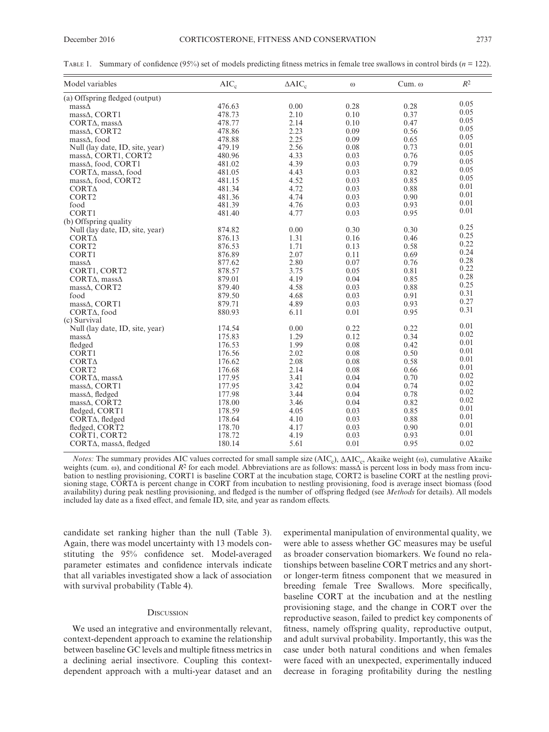| Model variables                 | $AIC_c$ | $\triangle AIC_c$ | $\omega$ | $Cum. \omega$ | $R^2$ |
|---------------------------------|---------|-------------------|----------|---------------|-------|
| (a) Offspring fledged (output)  |         |                   |          |               |       |
| ${\rm mass}\Delta$              | 476.63  | 0.00              | 0.28     | 0.28          | 0.05  |
| mass∆, CORT1                    | 478.73  | 2.10              | 0.10     | 0.37          | 0.05  |
| CORT $\Delta$ , mass $\Delta$   | 478.77  | 2.14              | 0.10     | 0.47          | 0.05  |
| mass $\Delta$ , CORT2           | 478.86  | 2.23              | 0.09     | 0.56          | 0.05  |
| mass $\Delta$ , food            | 478.88  | 2.25              | 0.09     | 0.65          | 0.05  |
| Null (lay date, ID, site, year) | 479.19  | 2.56              | 0.08     | 0.73          | 0.01  |
| mass $\Delta$ , CORT1, CORT2    | 480.96  | 4.33              | 0.03     | 0.76          | 0.05  |
| mass $\Delta$ , food, CORT1     | 481.02  | 4.39              | 0.03     | 0.79          | 0.05  |
| CORTA, massA, food              | 481.05  | 4.43              | 0.03     | 0.82          | 0.05  |
| $mass\Delta$ , food, CORT2      | 481.15  | 4.52              | 0.03     | 0.85          | 0.05  |
| <b>CORTA</b>                    | 481.34  | 4.72              | 0.03     | 0.88          | 0.01  |
| CORT <sub>2</sub>               | 481.36  | 4.74              | 0.03     | 0.90          | 0.01  |
| food                            | 481.39  | 4.76              | 0.03     | 0.93          | 0.01  |
| CORT1                           | 481.40  | 4.77              | 0.03     | 0.95          | 0.01  |
| (b) Offspring quality           |         |                   |          |               |       |
| Null (lay date, ID, site, year) | 874.82  | 0.00              | 0.30     | 0.30          | 0.25  |
| <b>CORTA</b>                    | 876.13  | 1.31              | 0.16     | 0.46          | 0.25  |
| CORT2                           | 876.53  | 1.71              | 0.13     | 0.58          | 0.22  |
| CORT1                           | 876.89  | 2.07              | 0.11     | 0.69          | 0.24  |
| $mass\Delta$                    | 877.62  | 2.80              | 0.07     | 0.76          | 0.28  |
| CORT1, CORT2                    | 878.57  | 3.75              | 0.05     | 0.81          | 0.22  |
| CORTA, massA                    | 879.01  | 4.19              | 0.04     | 0.85          | 0.28  |
| mass $\Delta$ , CORT2           | 879.40  | 4.58              | 0.03     | 0.88          | 0.25  |
| food                            | 879.50  | 4.68              | 0.03     | 0.91          | 0.31  |
| mass $\Delta$ , CORT1           | 879.71  | 4.89              | 0.03     | 0.93          | 0.27  |
| CORTA, food                     | 880.93  | 6.11              | 0.01     | 0.95          | 0.31  |
| (c) Survival                    |         |                   |          |               |       |
| Null (lay date, ID, site, year) | 174.54  | 0.00              | 0.22     | 0.22          | 0.01  |
| ${\rm mass}\Delta$              | 175.83  | 1.29              | 0.12     | 0.34          | 0.02  |
| fledged                         | 176.53  | 1.99              | 0.08     | 0.42          | 0.01  |
| CORT1                           | 176.56  | 2.02              | 0.08     | 0.50          | 0.01  |
| <b>CORTA</b>                    | 176.62  | 2.08              | 0.08     | 0.58          | 0.01  |
| CORT <sub>2</sub>               | 176.68  | 2.14              | 0.08     | 0.66          | 0.01  |
| CORT∆, mass∆                    | 177.95  | 3.41              | 0.04     | 0.70          | 0.02  |
| $mass\Delta$ , CORT1            | 177.95  | 3.42              | 0.04     | 0.74          | 0.02  |
| $mass\Delta$ , fledged          | 177.98  | 3.44              | 0.04     | 0.78          | 0.02  |
| mass $\Delta$ , CORT2           | 178.00  | 3.46              | 0.04     | 0.82          | 0.02  |
| fledged, CORT1                  | 178.59  | 4.05              | 0.03     | 0.85          | 0.01  |
| $CORTA$ , fledged               | 178.64  | 4.10              | 0.03     | 0.88          | 0.01  |
| fledged, CORT2                  | 178.70  | 4.17              | 0.03     | 0.90          | 0.01  |
| CORT1, CORT2                    | 178.72  | 4.19              | 0.03     | 0.93          | 0.01  |
| CORTA, massA, fledged           | 180.14  | 5.61              | 0.01     | 0.95          | 0.02  |

Table 1. Summary of confidence (95%) set of models predicting fitness metrics in female tree swallows in control birds (*n* = 122).

*Notes:* The summary provides AIC values corrected for small sample size (AIC<sub>c</sub>),  $\triangle AIC_c$ , Akaike weight ( $\omega$ ), cumulative Akaike weights (cum.  $\omega$ ), and conditional  $R^2$  for each model. Abbreviations are as follows: bation to nestling provisioning, CORT1 is baseline CORT at the incubation stage, CORT2 is baseline CORT at the nestling provisioning stage, CORTΔ is percent change in CORT from incubation to nestling provisioning, food is average insect biomass (food availability) during peak nestling provisioning, and fledged is the number of offspring fledged (see *Methods* for details). All models included lay date as a fixed effect, and female ID, site, and year as random effects.

candidate set ranking higher than the null (Table 3). Again, there was model uncertainty with 13 models constituting the 95% confidence set. Model-averaged parameter estimates and confidence intervals indicate that all variables investigated show a lack of association with survival probability (Table 4).

#### **DISCUSSION**

We used an integrative and environmentally relevant, context-dependent approach to examine the relationship between baseline GC levels and multiple fitness metrics in a declining aerial insectivore. Coupling this contextdependent approach with a multi-year dataset and an experimental manipulation of environmental quality, we were able to assess whether GC measures may be useful as broader conservation biomarkers. We found no relationships between baseline CORT metrics and any shortor longer-term fitness component that we measured in breeding female Tree Swallows. More specifically, baseline CORT at the incubation and at the nestling provisioning stage, and the change in CORT over the reproductive season, failed to predict key components of fitness, namely offspring quality, reproductive output, and adult survival probability. Importantly, this was the case under both natural conditions and when females were faced with an unexpected, experimentally induced decrease in foraging profitability during the nestling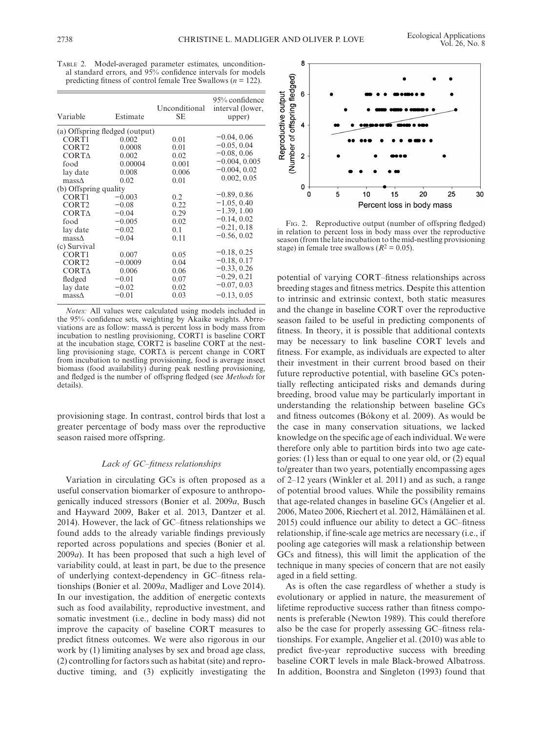|                                                                   |  | TABLE 2. Model-averaged parameter estimates, uncondition-   |
|-------------------------------------------------------------------|--|-------------------------------------------------------------|
|                                                                   |  | al standard errors, and 95% confidence intervals for models |
| predicting fitness of control female Tree Swallows ( $n = 122$ ). |  |                                                             |

| Variable                                                                                                      | Estimate                                                                               | Unconditional<br><b>SE</b>                     | 95% confidence<br>interval (lower,<br>upper)                                                        |
|---------------------------------------------------------------------------------------------------------------|----------------------------------------------------------------------------------------|------------------------------------------------|-----------------------------------------------------------------------------------------------------|
| CORT1<br>CORT <sub>2</sub><br><b>CORTA</b><br>food<br>lay date<br>${\rm mas}\Lambda$<br>(b) Offspring quality | (a) Offspring fledged (output)<br>0.002<br>0.0008<br>0.002<br>0.00004<br>0.008<br>0.02 | 0.01<br>0.01<br>0.02<br>0.001<br>0.006<br>0.01 | $-0.04, 0.06$<br>$-0.05, 0.04$<br>$-0.08, 0.06$<br>$-0.004, 0.005$<br>$-0.004, 0.02$<br>0.002, 0.05 |
| CORT1<br>CORT <sub>2</sub><br><b>CORTA</b><br>food<br>lay date<br>$mass\Lambda$                               | $-0.003$<br>$-0.08$<br>$-0.04$<br>$-0.005$<br>$-0.02$<br>$-0.04$                       | 0.2<br>0.22<br>0.29<br>0.02<br>01<br>0.11      | $-0.89, 0.86$<br>$-1.05, 0.40$<br>$-1.39, 1.00$<br>$-0.14, 0.02$<br>$-0.21, 0.18$<br>$-0.56, 0.02$  |
| (c) Survival<br>CORT1<br>CORT <sub>2</sub><br><b>CORTA</b><br>fledged<br>lay date<br>${\rm mass}$             | 0.007<br>$-0.0009$<br>0.006<br>$-0.01$<br>$-0.02$<br>$-0.01$                           | 0.05<br>0.04<br>0.06<br>0.07<br>0.02<br>0.03   | $-0.18, 0.25$<br>$-0.18, 0.17$<br>$-0.33, 0.26$<br>$-0.29, 0.21$<br>$-0.07, 0.03$<br>$-0.13, 0.05$  |

*Notes:* All values were calculated using models included in the 95% confidence sets, weighting by Akaike weights. Abrreviations are as follow: massΔ is percent loss in body mass from incubation to nestling provisioning, CORT1 is baseline CORT at the incubation stage, CORT2 is baseline CORT at the nestling provisioning stage, CORTΔ is percent change in CORT from incubation to nestling provisioning, food is average insect biomass (food availability) during peak nestling provisioning, and fledged is the number of offspring fledged (see *Methods* for details).

provisioning stage. In contrast, control birds that lost a greater percentage of body mass over the reproductive season raised more offspring.

#### *Lack of GC–fitness relationships*

Variation in circulating GCs is often proposed as a useful conservation biomarker of exposure to anthropogenically induced stressors (Bonier et al. 2009*a*, Busch and Hayward 2009, Baker et al. 2013, Dantzer et al. 2014). However, the lack of GC–fitness relationships we found adds to the already variable findings previously reported across populations and species (Bonier et al. 2009*a*). It has been proposed that such a high level of variability could, at least in part, be due to the presence of underlying context-dependency in GC–fitness relationships (Bonier et al. 2009*a*, Madliger and Love 2014). In our investigation, the addition of energetic contexts such as food availability, reproductive investment, and somatic investment (i.e., decline in body mass) did not improve the capacity of baseline CORT measures to predict fitness outcomes. We were also rigorous in our work by (1) limiting analyses by sex and broad age class, (2) controlling for factors such as habitat (site) and reproductive timing, and (3) explicitly investigating the



FIG. 2. Reproductive output (number of offspring fledged) in relation to percent loss in body mass over the reproductive season (from the late incubation to the mid-nestling provisioning stage) in female tree swallows  $(R^2 = 0.05)$ .

potential of varying CORT–fitness relationships across breeding stages and fitness metrics. Despite this attention to intrinsic and extrinsic context, both static measures and the change in baseline CORT over the reproductive season failed to be useful in predicting components of fitness. In theory, it is possible that additional contexts may be necessary to link baseline CORT levels and fitness. For example, as individuals are expected to alter their investment in their current brood based on their future reproductive potential, with baseline GCs potentially reflecting anticipated risks and demands during breeding, brood value may be particularly important in understanding the relationship between baseline GCs and fitness outcomes (Bókony et al. 2009). As would be the case in many conservation situations, we lacked knowledge on the specific age of each individual. We were therefore only able to partition birds into two age categories: (1) less than or equal to one year old, or (2) equal to/greater than two years, potentially encompassing ages of 2–12 years (Winkler et al. 2011) and as such, a range of potential brood values. While the possibility remains that age-related changes in baseline GCs (Angelier et al. 2006, Mateo 2006, Riechert et al. 2012, Hämäläinen et al. 2015) could influence our ability to detect a GC–fitness relationship, if fine-scale age metrics are necessary (i.e., if pooling age categories will mask a relationship between GCs and fitness), this will limit the application of the technique in many species of concern that are not easily aged in a field setting.

As is often the case regardless of whether a study is evolutionary or applied in nature, the measurement of lifetime reproductive success rather than fitness components is preferable (Newton 1989). This could therefore also be the case for properly assessing GC–fitness relationships. For example, Angelier et al. (2010) was able to predict five-year reproductive success with breeding baseline CORT levels in male Black-browed Albatross. In addition, Boonstra and Singleton (1993) found that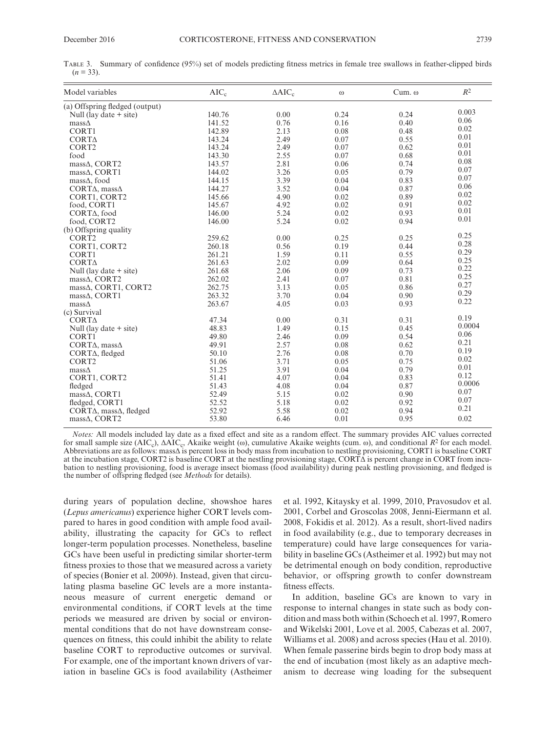Table 3. Summary of confidence (95%) set of models predicting fitness metrics in female tree swallows in feather-clipped birds  $(n = 33)$ .

| Model variables                | $AIC_c$ | $\triangle AIC_c$ | $\omega$ | $Cum. \omega$ | $R^2$  |
|--------------------------------|---------|-------------------|----------|---------------|--------|
| (a) Offspring fledged (output) |         |                   |          |               |        |
| Null (lay date $+$ site)       | 140.76  | 0.00              | 0.24     | 0.24          | 0.003  |
| ${\rm mass}\Delta$             | 141.52  | 0.76              | 0.16     | 0.40          | 0.06   |
| CORT1                          | 142.89  | 2.13              | 0.08     | 0.48          | 0.02   |
| CORTA                          | 143.24  | 2.49              | 0.07     | 0.55          | 0.01   |
| CORT2                          | 143.24  | 2.49              | 0.07     | 0.62          | 0.01   |
| food                           | 143.30  | 2.55              | 0.07     | 0.68          | 0.01   |
| mass $\Delta$ , CORT2          | 143.57  | 2.81              | 0.06     | 0.74          | 0.08   |
| mass <sub>△</sub> , CORT1      | 144.02  | 3.26              | 0.05     | 0.79          | 0.07   |
| $mass\Delta$ , food            | 144.15  | 3.39              | 0.04     | 0.83          | 0.07   |
| CORT $\Delta$ , mass $\Delta$  | 144.27  | 3.52              | 0.04     | 0.87          | 0.06   |
| CORT1, CORT2                   | 145.66  | 4.90              | 0.02     | 0.89          | 0.02   |
| food, CORT1                    | 145.67  | 4.92              | 0.02     | 0.91          | 0.02   |
| CORTA, food                    | 146.00  | 5.24              | 0.02     | 0.93          | 0.01   |
| food, CORT2                    | 146.00  | 5.24              | 0.02     | 0.94          | 0.01   |
| (b) Offspring quality          |         |                   |          |               |        |
| CORT <sub>2</sub>              | 259.62  | 0.00              | 0.25     | 0.25          | 0.25   |
| CORT1, CORT2                   | 260.18  | 0.56              | 0.19     | 0.44          | 0.28   |
| CORT1                          | 261.21  | 1.59              | 0.11     | 0.55          | 0.29   |
| CORTA                          | 261.63  | 2.02              | 0.09     | 0.64          | 0.25   |
| Null (lay date $+$ site)       | 261.68  | 2.06              | 0.09     | 0.73          | 0.22   |
| $mass\Delta$ , CORT2           | 262.02  | 2.41              | 0.07     | 0.81          | 0.25   |
| mass $\Delta$ , CORT1, CORT2   | 262.75  | 3.13              | 0.05     | 0.86          | 0.27   |
| mass∆, CORT1                   | 263.32  | 3.70              | 0.04     | 0.90          | 0.29   |
| ${\rm mass}\Delta$             | 263.67  | 4.05              | 0.03     | 0.93          | 0.22   |
| (c) Survival                   |         |                   |          |               |        |
| CORTA                          | 47.34   | 0.00              | 0.31     | 0.31          | 0.19   |
| Null (lay date $+$ site)       | 48.83   | 1.49              | 0.15     | 0.45          | 0.0004 |
| CORT1                          | 49.80   | 2.46              | 0.09     | 0.54          | 0.06   |
| CORT∆, mass∆                   | 49.91   | 2.57              | 0.08     | 0.62          | 0.21   |
| $CORTA$ , fledged              | 50.10   | 2.76              | 0.08     | 0.70          | 0.19   |
| CORT <sub>2</sub>              | 51.06   | 3.71              | 0.05     | 0.75          | 0.02   |
| $\text{mass}\Delta$            | 51.25   | 3.91              | 0.04     | 0.79          | 0.01   |
| CORT1, CORT2                   | 51.41   | 4.07              | 0.04     | 0.83          | 0.12   |
| fledged                        | 51.43   | 4.08              | 0.04     | 0.87          | 0.0006 |
| mass∆, CORT1                   | 52.49   | 5.15              | 0.02     | 0.90          | 0.07   |
| fledged, CORT1                 | 52.52   | 5.18              | 0.02     | 0.92          | 0.07   |
| CORTA, massA, fledged          | 52.92   | 5.58              | 0.02     | 0.94          | 0.21   |
| $mass\Delta$ , CORT2           | 53.80   | 6.46              | 0.01     | 0.95          | 0.02   |

*Notes:* All models included lay date as a fixed effect and site as a random effect. The summary provides AIC values corrected for small sample size (AIC<sub>c</sub>), ΔAIC<sub>c</sub>, Akaike weight (ω), cumulative Akaike weights (cum. ω), and conditional *R*<sup>2</sup> for each model. Abbreviations are as follows: massΔ is percent loss in body mass from incubation to nestling provisioning, CORT1 is baseline CORT at the incubation stage, CORT2 is baseline CORT at the nestling provisioning stage, CORT $\Delta$  is percent change in CORT from incubation to nestling provisioning, food is average insect biomass (food availability) during peak nestling provisioning, and fledged is the number of offspring fledged (see *Methods* for details).

during years of population decline, showshoe hares (*Lepus americanus*) experience higher CORT levels compared to hares in good condition with ample food availability, illustrating the capacity for GCs to reflect longer-term population processes. Nonetheless, baseline GCs have been useful in predicting similar shorter-term fitness proxies to those that we measured across a variety of species (Bonier et al. 2009*b*). Instead, given that circulating plasma baseline GC levels are a more instantaneous measure of current energetic demand or environmental conditions, if CORT levels at the time periods we measured are driven by social or environmental conditions that do not have downstream consequences on fitness, this could inhibit the ability to relate baseline CORT to reproductive outcomes or survival. For example, one of the important known drivers of variation in baseline GCs is food availability (Astheimer et al. 1992, Kitaysky et al. 1999, 2010, Pravosudov et al. 2001, Corbel and Groscolas 2008, Jenni-Eiermann et al. 2008, Fokidis et al. 2012). As a result, short-lived nadirs in food availability (e.g., due to temporary decreases in temperature) could have large consequences for variability in baseline GCs (Astheimer et al. 1992) but may not be detrimental enough on body condition, reproductive behavior, or offspring growth to confer downstream fitness effects.

In addition, baseline GCs are known to vary in response to internal changes in state such as body condition and mass both within (Schoech et al. 1997, Romero and Wikelski 2001, Love et al. 2005, Cabezas et al. 2007, Williams et al. 2008) and across species (Hau et al. 2010). When female passerine birds begin to drop body mass at the end of incubation (most likely as an adaptive mechanism to decrease wing loading for the subsequent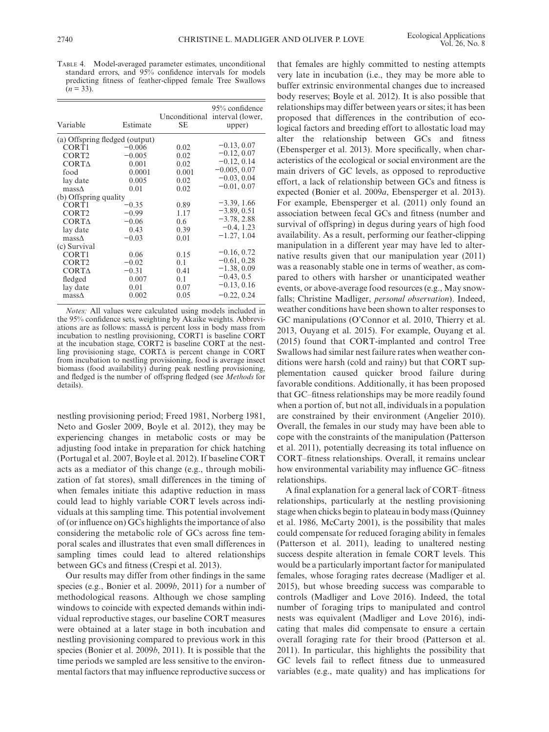Table 4. Model-averaged parameter estimates, unconditional standard errors, and 95% confidence intervals for models predicting fitness of feather-clipped female Tree Swallows  $(n = 33)$ .

| Variable                                                                                                                                                                                                                                                                                                                         | Estimate                                                                                                                                                    | SE.                                                                                                                        | 95% confidence<br>Unconditional interval (lower,<br>upper)                                                                                                                                                                                                                  |
|----------------------------------------------------------------------------------------------------------------------------------------------------------------------------------------------------------------------------------------------------------------------------------------------------------------------------------|-------------------------------------------------------------------------------------------------------------------------------------------------------------|----------------------------------------------------------------------------------------------------------------------------|-----------------------------------------------------------------------------------------------------------------------------------------------------------------------------------------------------------------------------------------------------------------------------|
| (a) Offspring fledged (output)<br>CORT1<br>CORT <sub>2</sub><br><b>CORTA</b><br>food<br>lay date<br>${\rm mas}\Lambda$<br>(b) Offspring quality<br>CORT1<br>CORT <sub>2</sub><br><b>CORTA</b><br>lay date<br>${\rm mas}\Lambda$<br>(c) Survival<br>CORT <sub>1</sub><br>CORT <sub>2</sub><br><b>CORTA</b><br>fledged<br>lay date | $-0.006$<br>$-0.005$<br>0.001<br>0.0001<br>0.005<br>0.01<br>$-0.35$<br>$-0.99$<br>$-0.06$<br>0.43<br>$-0.03$<br>0.06<br>$-0.02$<br>$-0.31$<br>0.007<br>0.01 | 0.02<br>0.02<br>0.02<br>0.001<br>0.02<br>0.02<br>0.89<br>1.17<br>0.6<br>0.39<br>0.01<br>0.15<br>0.1<br>0.41<br>0.1<br>0.07 | $-0.13, 0.07$<br>$-0.12, 0.07$<br>$-0.12, 0.14$<br>$-0.005, 0.07$<br>$-0.03, 0.04$<br>$-0.01, 0.07$<br>$-3.39, 1.66$<br>$-3.89, 0.51$<br>$-3.78, 2.88$<br>$-0.4, 1.23$<br>$-1.27, 1.04$<br>$-0.16, 0.72$<br>$-0.61, 0.28$<br>$-1.38, 0.09$<br>$-0.43, 0.5$<br>$-0.13, 0.16$ |
| ${\rm mas}\Lambda$                                                                                                                                                                                                                                                                                                               | 0.002                                                                                                                                                       | 0.05                                                                                                                       | $-0.22, 0.24$                                                                                                                                                                                                                                                               |

*Notes:* All values were calculated using models included in the 95% confidence sets, weighting by Akaike weights. Abbreviations are as follows: massΔ is percent loss in body mass from incubation to nestling provisioning, CORT1 is baseline CORT at the incubation stage, CORT2 is baseline CORT at the nestling provisioning stage, CORTΔ is percent change in CORT from incubation to nestling provisioning, food is average insect biomass (food availability) during peak nestling provisioning, and fledged is the number of offspring fledged (see *Methods* for details).

nestling provisioning period; Freed 1981, Norberg 1981, Neto and Gosler 2009, Boyle et al. 2012), they may be experiencing changes in metabolic costs or may be adjusting food intake in preparation for chick hatching (Portugal et al. 2007, Boyle et al. 2012). If baseline CORT acts as a mediator of this change (e.g., through mobilization of fat stores), small differences in the timing of when females initiate this adaptive reduction in mass could lead to highly variable CORT levels across individuals at this sampling time. This potential involvement of (or influence on) GCs highlights the importance of also considering the metabolic role of GCs across fine temporal scales and illustrates that even small differences in sampling times could lead to altered relationships between GCs and fitness (Crespi et al. 2013).

Our results may differ from other findings in the same species (e.g., Bonier et al. 2009*b*, 2011) for a number of methodological reasons. Although we chose sampling windows to coincide with expected demands within individual reproductive stages, our baseline CORT measures were obtained at a later stage in both incubation and nestling provisioning compared to previous work in this species (Bonier et al. 2009*b*, 2011). It is possible that the time periods we sampled are less sensitive to the environmental factors that may influence reproductive success or

that females are highly committed to nesting attempts very late in incubation (i.e., they may be more able to buffer extrinsic environmental changes due to increased body reserves; Boyle et al. 2012). It is also possible that relationships may differ between years or sites; it has been proposed that differences in the contribution of ecological factors and breeding effort to allostatic load may alter the relationship between GCs and fitness (Ebensperger et al. 2013). More specifically, when characteristics of the ecological or social environment are the main drivers of GC levels, as opposed to reproductive effort, a lack of relationship between GCs and fitness is expected (Bonier et al. 2009*a*, Ebensperger et al. 2013). For example, Ebensperger et al. (2011) only found an association between fecal GCs and fitness (number and survival of offspring) in degus during years of high food availability. As a result, performing our feather-clipping manipulation in a different year may have led to alternative results given that our manipulation year (2011) was a reasonably stable one in terms of weather, as compared to others with harsher or unanticipated weather events, or above-average food resources (e.g., May snowfalls; Christine Madliger, *personal observation*). Indeed, weather conditions have been shown to alter responses to GC manipulations (O'Connor et al. 2010, Thierry et al. 2013, Ouyang et al. 2015). For example, Ouyang et al. (2015) found that CORT-implanted and control Tree Swallows had similar nest failure rates when weather conditions were harsh (cold and rainy) but that CORT supplementation caused quicker brood failure during favorable conditions. Additionally, it has been proposed that GC–fitness relationships may be more readily found when a portion of, but not all, individuals in a population are constrained by their environment (Angelier 2010). Overall, the females in our study may have been able to cope with the constraints of the manipulation (Patterson et al. 2011), potentially decreasing its total influence on CORT–fitness relationships. Overall, it remains unclear how environmental variability may influence GC–fitness relationships.

A final explanation for a general lack of CORT–fitness relationships, particularly at the nestling provisioning stage when chicks begin to plateau in body mass (Quinney et al. 1986, McCarty 2001), is the possibility that males could compensate for reduced foraging ability in females (Patterson et al. 2011), leading to unaltered nesting success despite alteration in female CORT levels. This would be a particularly important factor for manipulated females, whose foraging rates decrease (Madliger et al. 2015), but whose breeding success was comparable to controls (Madliger and Love 2016). Indeed, the total number of foraging trips to manipulated and control nests was equivalent (Madliger and Love 2016), indicating that males did compensate to ensure a certain overall foraging rate for their brood (Patterson et al. 2011). In particular, this highlights the possibility that GC levels fail to reflect fitness due to unmeasured variables (e.g., mate quality) and has implications for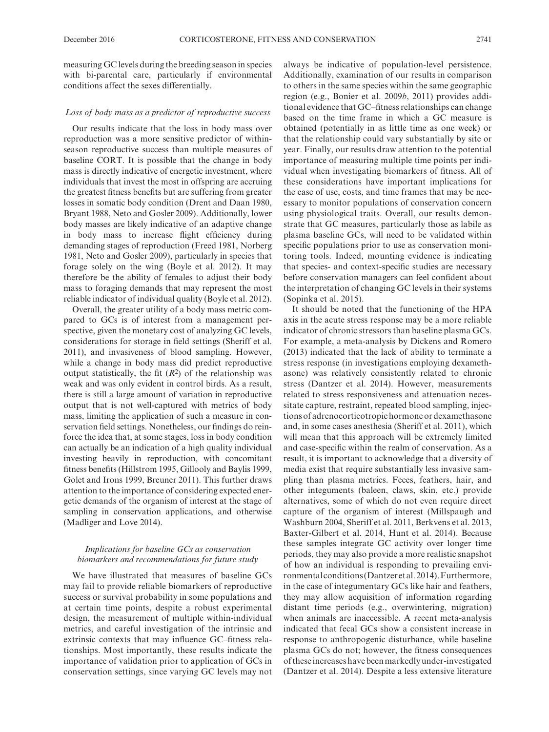measuring GC levels during the breeding season in species with bi-parental care, particularly if environmental conditions affect the sexes differentially.

#### *Loss of body mass as a predictor of reproductive success*

Our results indicate that the loss in body mass over reproduction was a more sensitive predictor of withinseason reproductive success than multiple measures of baseline CORT. It is possible that the change in body mass is directly indicative of energetic investment, where individuals that invest the most in offspring are accruing the greatest fitness benefits but are suffering from greater losses in somatic body condition (Drent and Daan 1980, Bryant 1988, Neto and Gosler 2009). Additionally, lower body masses are likely indicative of an adaptive change in body mass to increase flight efficiency during demanding stages of reproduction (Freed 1981, Norberg 1981, Neto and Gosler 2009), particularly in species that forage solely on the wing (Boyle et al. 2012). It may therefore be the ability of females to adjust their body mass to foraging demands that may represent the most reliable indicator of individual quality (Boyle et al. 2012).

Overall, the greater utility of a body mass metric compared to GCs is of interest from a management perspective, given the monetary cost of analyzing GC levels, considerations for storage in field settings (Sheriff et al. 2011), and invasiveness of blood sampling. However, while a change in body mass did predict reproductive output statistically, the fit  $(R^2)$  of the relationship was weak and was only evident in control birds. As a result, there is still a large amount of variation in reproductive output that is not well-captured with metrics of body mass, limiting the application of such a measure in conservation field settings. Nonetheless, our findings do reinforce the idea that, at some stages, loss in body condition can actually be an indication of a high quality individual investing heavily in reproduction, with concomitant fitness benefits (Hillstrom 1995, Gillooly and Baylis 1999, Golet and Irons 1999, Breuner 2011). This further draws attention to the importance of considering expected energetic demands of the organism of interest at the stage of sampling in conservation applications, and otherwise (Madliger and Love 2014).

#### *Implications for baseline GCs as conservation biomarkers and recommendations for future study*

We have illustrated that measures of baseline GCs may fail to provide reliable biomarkers of reproductive success or survival probability in some populations and at certain time points, despite a robust experimental design, the measurement of multiple within-individual metrics, and careful investigation of the intrinsic and extrinsic contexts that may influence GC–fitness relationships. Most importantly, these results indicate the importance of validation prior to application of GCs in conservation settings, since varying GC levels may not always be indicative of population-level persistence. Additionally, examination of our results in comparison to others in the same species within the same geographic region (e.g., Bonier et al. 2009*b*, 2011) provides additional evidence that GC–fitness relationships can change based on the time frame in which a GC measure is obtained (potentially in as little time as one week) or that the relationship could vary substantially by site or year. Finally, our results draw attention to the potential importance of measuring multiple time points per individual when investigating biomarkers of fitness. All of these considerations have important implications for the ease of use, costs, and time frames that may be necessary to monitor populations of conservation concern using physiological traits. Overall, our results demonstrate that GC measures, particularly those as labile as plasma baseline GCs, will need to be validated within specific populations prior to use as conservation monitoring tools. Indeed, mounting evidence is indicating that species- and context-specific studies are necessary before conservation managers can feel confident about the interpretation of changing GC levels in their systems (Sopinka et al. 2015).

It should be noted that the functioning of the HPA axis in the acute stress response may be a more reliable indicator of chronic stressors than baseline plasma GCs. For example, a meta-analysis by Dickens and Romero (2013) indicated that the lack of ability to terminate a stress response (in investigations employing dexamethasone) was relatively consistently related to chronic stress (Dantzer et al. 2014). However, measurements related to stress responsiveness and attenuation necessitate capture, restraint, repeated blood sampling, injections of adrenocorticotropic hormone or dexamethasone and, in some cases anesthesia (Sheriff et al. 2011), which will mean that this approach will be extremely limited and case-specific within the realm of conservation. As a result, it is important to acknowledge that a diversity of media exist that require substantially less invasive sampling than plasma metrics. Feces, feathers, hair, and other integuments (baleen, claws, skin, etc.) provide alternatives, some of which do not even require direct capture of the organism of interest (Millspaugh and Washburn 2004, Sheriff et al. 2011, Berkvens et al. 2013, Baxter-Gilbert et al. 2014, Hunt et al. 2014). Because these samples integrate GC activity over longer time periods, they may also provide a more realistic snapshot of how an individual is responding to prevailing environmental conditions (Dantzer etal. 2014). Furthermore, in the case of integumentary GCs like hair and feathers, they may allow acquisition of information regarding distant time periods (e.g., overwintering, migration) when animals are inaccessible. A recent meta-analysis indicated that fecal GCs show a consistent increase in response to anthropogenic disturbance, while baseline plasma GCs do not; however, the fitness consequences of these increases have been markedly under-investigated (Dantzer et al. 2014). Despite a less extensive literature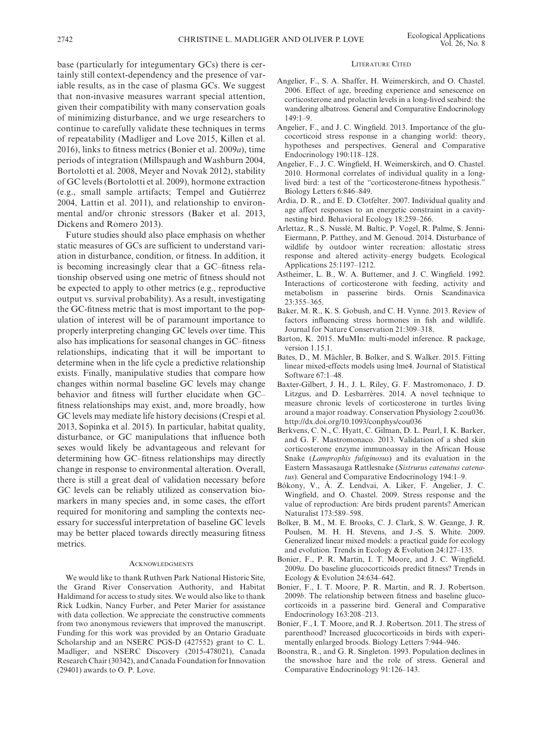base (particularly for integumentary GCs) there is certainly still context-dependency and the presence of variable results, as in the case of plasma GCs. We suggest that non-invasive measures warrant special attention, given their compatibility with many conservation goals of minimizing disturbance, and we urge researchers to continue to carefully validate these techniques in terms of repeatability (Madliger and Love 2015, Killen et al. 2016), links to fitness metrics (Bonier et al. 2009*a*), time periods of integration (Millspaugh and Washburn 2004, Bortolotti et al. 2008, Meyer and Novak 2012), stability of GC levels (Bortolotti et al. 2009), hormone extraction (e.g., small sample artifacts; Tempel and Gutiérrez 2004, Lattin et al. 2011), and relationship to environmental and/or chronic stressors (Baker et al. 2013, Dickens and Romero 2013).

Future studies should also place emphasis on whether static measures of GCs are sufficient to understand variation in disturbance, condition, or fitness. In addition, it is becoming increasingly clear that a GC–fitness relationship observed using one metric of fitness should not be expected to apply to other metrics (e.g., reproductive output vs. survival probability). As a result, investigating the GC-fitness metric that is most important to the population of interest will be of paramount importance to properly interpreting changing GC levels over time. This also has implications for seasonal changes in GC–fitness relationships, indicating that it will be important to determine when in the life cycle a predictive relationship exists. Finally, manipulative studies that compare how changes within normal baseline GC levels may change behavior and fitness will further elucidate when GC– fitness relationships may exist, and, more broadly, how GC levels may mediate life history decisions (Crespi et al. 2013, Sopinka et al. 2015). In particular, habitat quality, disturbance, or GC manipulations that influence both sexes would likely be advantageous and relevant for determining how GC–fitness relationships may directly change in response to environmental alteration. Overall, there is still a great deal of validation necessary before GC levels can be reliably utilized as conservation biomarkers in many species and, in some cases, the effort required for monitoring and sampling the contexts necessary for successful interpretation of baseline GC levels may be better placed towards directly measuring fitness metrics.

#### **ACKNOWLEDGMENTS**

We would like to thank Ruthven Park National Historic Site, the Grand River Conservation Authority, and Habitat Haldimand for access to study sites. We would also like to thank Rick Ludkin, Nancy Furber, and Peter Marier for assistance with data collection. We appreciate the constructive comments from two anonymous reviewers that improved the manuscript. Funding for this work was provided by an Ontario Graduate Scholarship and an NSERC PGS-D (427552) grant to C. L. Madliger, and NSERC Discovery (2015-478021), Canada Research Chair (30342), and Canada Foundation for Innovation (29401) awards to O. P. Love.

#### Literature Cited

- Angelier, F., S. A. Shaffer, H. Weimerskirch, and O. Chastel. 2006. Effect of age, breeding experience and senescence on corticosterone and prolactin levels in a long-lived seabird: the wandering albatross. General and Comparative Endocrinology  $149.1-9$
- Angelier, F., and J. C. Wingfield. 2013. Importance of the glucocorticoid stress response in a changing world: theory, hypotheses and perspectives. General and Comparative Endocrinology 190:118–128.
- Angelier, F., J. C. Wingfield, H. Weimerskirch, and O. Chastel. 2010. Hormonal correlates of individual quality in a longlived bird: a test of the "corticosterone-fitness hypothesis." Biology Letters 6:846–849.
- Ardia, D. R., and E. D. Clotfelter. 2007. Individual quality and age affect responses to an energetic constraint in a cavitynesting bird. Behavioral Ecology 18:259–266.
- Arlettaz, R., S. Nusslé, M. Baltic, P. Vogel, R. Palme, S. Jenni-Eiermann, P. Patthey, and M. Genoud. 2014. Disturbance of wildlife by outdoor winter recreation: allostatic stress response and altered activity–energy budgets. Ecological Applications 25:1197–1212.
- Astheimer, L. B., W. A. Buttemer, and J. C. Wingfield. 1992. Interactions of corticosterone with feeding, activity and metabolism in passerine birds. Ornis Scandinavica 23:355–365.
- Baker, M. R., K. S. Gobush, and C. H. Vynne. 2013. Review of factors influencing stress hormones in fish and wildlife. Journal for Nature Conservation 21:309–318.
- Barton, K. 2015. MuMIn: multi-model inference. R package, version 1.15.1.
- Bates, D., M. Mächler, B. Bolker, and S. Walker. 2015. Fitting linear mixed-effects models using lme4. Journal of Statistical Software 67:1–48.
- Baxter-Gilbert, J. H., J. L. Riley, G. F. Mastromonaco, J. D. Litzgus, and D. Lesbarrères. 2014. A novel technique to measure chronic levels of corticosterone in turtles living around a major roadway. Conservation Physiology 2:cou036. <http://dx.doi.org/10.1093/conphys/cou036>
- Berkvens, C. N., C. Hyatt, C. Gilman, D. L. Pearl, I. K. Barker, and G. F. Mastromonaco. 2013. Validation of a shed skin corticosterone enzyme immunoassay in the African House Snake (*Lamprophis fuliginosus*) and its evaluation in the Eastern Massasauga Rattlesnake (*Sistrurus catenatus catenatus*). General and Comparative Endocrinology 194:1–9.
- Bókony, V., Á. Z. Lendvai, A. Liker, F. Angelier, J. C. Wingfield, and O. Chastel. 2009. Stress response and the value of reproduction: Are birds prudent parents? American Naturalist 173:589–598.
- Bolker, B. M., M. E. Brooks, C. J. Clark, S. W. Geange, J. R. Poulsen, M. H. H. Stevens, and J.-S. S. White. 2009. Generalized linear mixed models: a practical guide for ecology and evolution. Trends in Ecology & Evolution 24:127–135.
- Bonier, F., P. R. Martin, I. T. Moore, and J. C. Wingfield. 2009*a*. Do baseline glucocorticoids predict fitness? Trends in Ecology & Evolution 24:634–642.
- Bonier, F., I. T. Moore, P. R. Martin, and R. J. Robertson. 2009*b*. The relationship between fitness and baseline glucocorticoids in a passerine bird. General and Comparative Endocrinology 163:208–213.
- Bonier, F., I. T. Moore, and R. J. Robertson. 2011. The stress of parenthood? Increased glucocorticoids in birds with experimentally enlarged broods. Biology Letters 7:944–946.
- Boonstra, R., and G. R. Singleton. 1993. Population declines in the snowshoe hare and the role of stress. General and Comparative Endocrinology 91:126–143.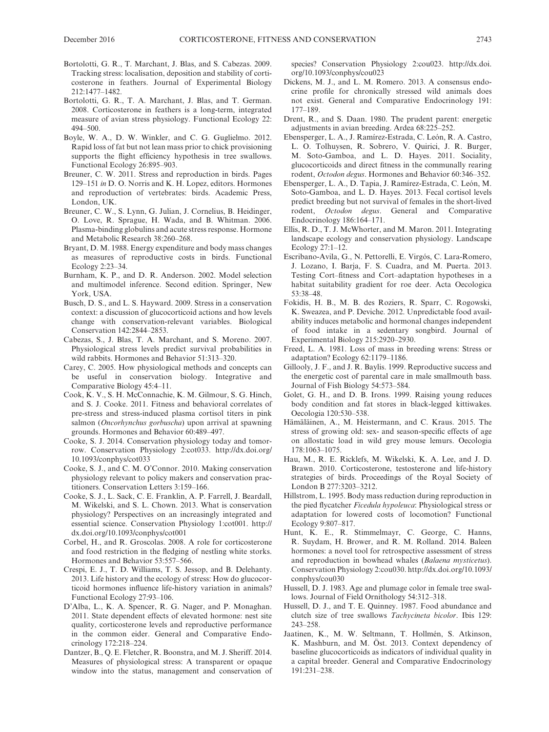- Bortolotti, G. R., T. Marchant, J. Blas, and S. Cabezas. 2009. Tracking stress: localisation, deposition and stability of corticosterone in feathers. Journal of Experimental Biology 212:1477–1482.
- Bortolotti, G. R., T. A. Marchant, J. Blas, and T. German. 2008. Corticosterone in feathers is a long-term, integrated measure of avian stress physiology. Functional Ecology 22: 494–500.
- Boyle, W. A., D. W. Winkler, and C. G. Guglielmo. 2012. Rapid loss of fat but not lean mass prior to chick provisioning supports the flight efficiency hypothesis in tree swallows. Functional Ecology 26:895–903.
- Breuner, C. W. 2011. Stress and reproduction in birds. Pages 129–151 *in* D. O. Norris and K. H. Lopez, editors. Hormones and reproduction of vertebrates: birds. Academic Press, London, UK.
- Breuner, C. W., S. Lynn, G. Julian, J. Cornelius, B. Heidinger, O. Love, R. Sprague, H. Wada, and B. Whitman. 2006. Plasma-binding globulins and acute stress response. Hormone and Metabolic Research 38:260–268.
- Bryant, D. M. 1988. Energy expenditure and body mass changes as measures of reproductive costs in birds. Functional Ecology 2:23–34.
- Burnham, K. P., and D. R. Anderson. 2002. Model selection and multimodel inference. Second edition. Springer, New York, USA.
- Busch, D. S., and L. S. Hayward. 2009. Stress in a conservation context: a discussion of glucocorticoid actions and how levels change with conservation-relevant variables. Biological Conservation 142:2844–2853.
- Cabezas, S., J. Blas, T. A. Marchant, and S. Moreno. 2007. Physiological stress levels predict survival probabilities in wild rabbits. Hormones and Behavior 51:313–320.
- Carey, C. 2005. How physiological methods and concepts can be useful in conservation biology. Integrative and Comparative Biology 45:4–11.
- Cook, K. V., S. H. McConnachie, K. M. Gilmour, S. G. Hinch, and S. J. Cooke. 2011. Fitness and behavioral correlates of pre-stress and stress-induced plasma cortisol titers in pink salmon (*Oncorhynchus gorbuscha*) upon arrival at spawning grounds. Hormones and Behavior 60:489–497.
- Cooke, S. J. 2014. Conservation physiology today and tomorrow. Conservation Physiology 2:cot033. [http://dx.doi.org/](http://dx.doi.org/10.1093/conphys/cot033) [10.1093/conphys/cot033](http://dx.doi.org/10.1093/conphys/cot033)
- Cooke, S. J., and C. M. O'Connor. 2010. Making conservation physiology relevant to policy makers and conservation practitioners. Conservation Letters 3:159–166.
- Cooke, S. J., L. Sack, C. E. Franklin, A. P. Farrell, J. Beardall, M. Wikelski, and S. L. Chown. 2013. What is conservation physiology? Perspectives on an increasingly integrated and essential science. Conservation Physiology 1:cot001. [http://](http://dx.doi.org/10.1093/conphys/cot001) [dx.doi.org/10.1093/conphys/cot001](http://dx.doi.org/10.1093/conphys/cot001)
- Corbel, H., and R. Groscolas. 2008. A role for corticosterone and food restriction in the fledging of nestling white storks. Hormones and Behavior 53:557–566.
- Crespi, E. J., T. D. Williams, T. S. Jessop, and B. Delehanty. 2013. Life history and the ecology of stress: How do glucocorticoid hormones influence life-history variation in animals? Functional Ecology 27:93–106.
- D'Alba, L., K. A. Spencer, R. G. Nager, and P. Monaghan. 2011. State dependent effects of elevated hormone: nest site quality, corticosterone levels and reproductive performance in the common eider. General and Comparative Endocrinology 172:218–224.
- Dantzer, B., Q. E. Fletcher, R. Boonstra, and M. J. Sheriff. 2014. Measures of physiological stress: A transparent or opaque window into the status, management and conservation of

species? Conservation Physiology 2:cou023. [http://dx.doi.](http://dx.doi.org/10.1093/conphys/cou023) [org/10.1093/conphys/cou023](http://dx.doi.org/10.1093/conphys/cou023)

- Dickens, M. J., and L. M. Romero. 2013. A consensus endocrine profile for chronically stressed wild animals does not exist. General and Comparative Endocrinology 191: 177–189.
- Drent, R., and S. Daan. 1980. The prudent parent: energetic adjustments in avian breeding. Ardea 68:225–252.
- Ebensperger, L. A., J. Ramírez-Estrada, C. León, R. A. Castro, L. O. Tolhuysen, R. Sobrero, V. Quirici, J. R. Burger, M. Soto-Gamboa, and L. D. Hayes. 2011. Sociality, glucocorticoids and direct fitness in the communally rearing rodent, *Octodon degus*. Hormones and Behavior 60:346–352.
- Ebensperger, L. A., D. Tapia, J. Ramírez-Estrada, C. León, M. Soto-Gamboa, and L. D. Hayes. 2013. Fecal cortisol levels predict breeding but not survival of females in the short-lived rodent, *Octodon degus*. General and Comparative Endocrinology 186:164–171.
- Ellis, R. D., T. J. McWhorter, and M. Maron. 2011. Integrating landscape ecology and conservation physiology. Landscape Ecology 27:1–12.
- Escribano-Avila, G., N. Pettorelli, E. Virgós, C. Lara-Romero, J. Lozano, I. Barja, F. S. Cuadra, and M. Puerta. 2013. Testing Cort–fitness and Cort–adaptation hypotheses in a habitat suitability gradient for roe deer. Acta Oecologica 53:38–48.
- Fokidis, H. B., M. B. des Roziers, R. Sparr, C. Rogowski, K. Sweazea, and P. Deviche. 2012. Unpredictable food availability induces metabolic and hormonal changes independent of food intake in a sedentary songbird. Journal of Experimental Biology 215:2920–2930.
- Freed, L. A. 1981. Loss of mass in breeding wrens: Stress or adaptation? Ecology 62:1179–1186.
- Gillooly, J. F., and J. R. Baylis. 1999. Reproductive success and the energetic cost of parental care in male smallmouth bass. Journal of Fish Biology 54:573–584.
- Golet, G. H., and D. B. Irons. 1999. Raising young reduces body condition and fat stores in black-legged kittiwakes. Oecologia 120:530–538.
- Hämäläinen, A., M. Heistermann, and C. Kraus. 2015. The stress of growing old: sex- and season-specific effects of age on allostatic load in wild grey mouse lemurs. Oecologia 178:1063–1075.
- Hau, M., R. E. Ricklefs, M. Wikelski, K. A. Lee, and J. D. Brawn. 2010. Corticosterone, testosterone and life-history strategies of birds. Proceedings of the Royal Society of London B 277:3203–3212.
- Hillstrom, L. 1995. Body mass reduction during reproduction in the pied flycatcher *Ficedula hypoleuca*: Physiological stress or adaptation for lowered costs of locomotion? Functional Ecology 9:807–817.
- Hunt, K. E., R. Stimmelmayr, C. George, C. Hanns, R. Suydam, H. Brower, and R. M. Rolland. 2014. Baleen hormones: a novel tool for retrospective assessment of stress and reproduction in bowhead whales (*Balaena mysticetus*). Conservation Physiology 2:cou030. [http://dx.doi.org/10.1093/](http://dx.doi.org/10.1093/conphys/cou030) [conphys/cou030](http://dx.doi.org/10.1093/conphys/cou030)
- Hussell, D. J. 1983. Age and plumage color in female tree swallows. Journal of Field Ornithology 54:312–318.
- Hussell, D. J., and T. E. Quinney. 1987. Food abundance and clutch size of tree swallows *Tachycineta bicolor*. Ibis 129: 243–258.
- Jaatinen, K., M. W. Seltmann, T. Hollmén, S. Atkinson, K. Mashburn, and M. Öst. 2013. Context dependency of baseline glucocorticoids as indicators of individual quality in a capital breeder. General and Comparative Endocrinology 191:231–238.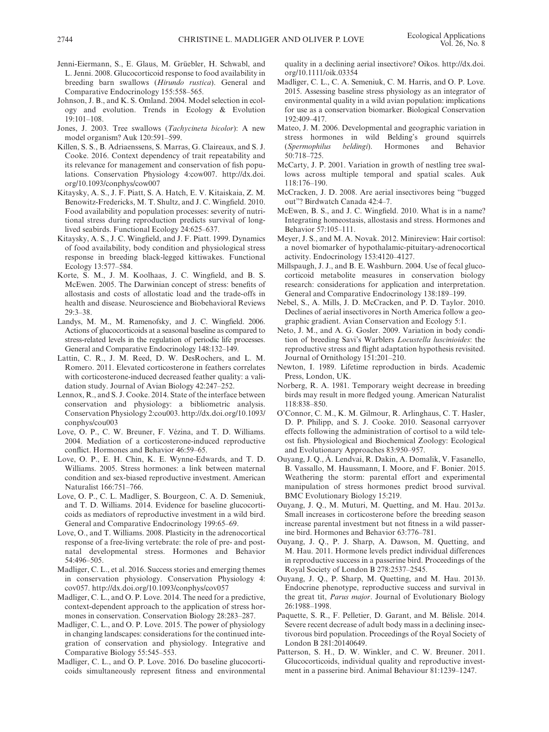- Jenni-Eiermann, S., E. Glaus, M. Grüebler, H. Schwabl, and L. Jenni. 2008. Glucocorticoid response to food availability in breeding barn swallows (*Hirundo rustica*). General and Comparative Endocrinology 155:558–565.
- Johnson, J. B., and K. S. Omland. 2004. Model selection in ecology and evolution. Trends in Ecology & Evolution 19:101–108.
- Jones, J. 2003. Tree swallows (*Tachycineta bicolor*): A new model organism? Auk 120:591–599.
- Killen, S. S., B. Adriaenssens, S. Marras, G. Claireaux, and S. J. Cooke. 2016. Context dependency of trait repeatability and its relevance for management and conservation of fish populations. Conservation Physiology 4:cow007. [http://dx.doi.](http://dx.doi.org/10.1093/conphys/cow007) [org/10.1093/conphys/cow007](http://dx.doi.org/10.1093/conphys/cow007)
- Kitaysky, A. S., J. F. Piatt, S. A. Hatch, E. V. Kitaiskaia, Z. M. Benowitz-Fredericks, M. T. Shultz, and J. C. Wingfield. 2010. Food availability and population processes: severity of nutritional stress during reproduction predicts survival of longlived seabirds. Functional Ecology 24:625–637.
- Kitaysky, A. S., J. C. Wingfield, and J. F. Piatt. 1999. Dynamics of food availability, body condition and physiological stress response in breeding black-legged kittiwakes. Functional Ecology 13:577–584.
- Korte, S. M., J. M. Koolhaas, J. C. Wingfield, and B. S. McEwen. 2005. The Darwinian concept of stress: benefits of allostasis and costs of allostatic load and the trade-offs in health and disease. Neuroscience and Biobehavioral Reviews 29:3–38.
- Landys, M. M., M. Ramenofsky, and J. C. Wingfield. 2006. Actions of glucocorticoids at a seasonal baseline as compared to stress-related levels in the regulation of periodic life processes. General and Comparative Endocrinology 148:132–149.
- Lattin, C. R., J. M. Reed, D. W. DesRochers, and L. M. Romero. 2011. Elevated corticosterone in feathers correlates with corticosterone-induced decreased feather quality: a validation study. Journal of Avian Biology 42:247–252.
- Lennox, R., and S. J. Cooke. 2014. State of the interface between conservation and physiology: a bibliometric analysis. Conservation Physiology 2:cou003. [http://dx.doi.org/10.1093/](http://dx.doi.org/10.1093/conphys/cou003) [conphys/cou003](http://dx.doi.org/10.1093/conphys/cou003)
- Love, O. P., C. W. Breuner, F. Vézina, and T. D. Williams. 2004. Mediation of a corticosterone-induced reproductive conflict. Hormones and Behavior 46:59–65.
- Love, O. P., E. H. Chin, K. E. Wynne-Edwards, and T. D. Williams. 2005. Stress hormones: a link between maternal condition and sex-biased reproductive investment. American Naturalist 166:751–766.
- Love, O. P., C. L. Madliger, S. Bourgeon, C. A. D. Semeniuk, and T. D. Williams. 2014. Evidence for baseline glucocorticoids as mediators of reproductive investment in a wild bird. General and Comparative Endocrinology 199:65–69.
- Love, O., and T. Williams. 2008. Plasticity in the adrenocortical response of a free-living vertebrate: the role of pre- and postnatal developmental stress. Hormones and Behavior 54:496–505.
- Madliger, C. L., et al. 2016. Success stories and emerging themes in conservation physiology. Conservation Physiology 4: cov057.<http://dx.doi.org/10.1093/conphys/cov057>
- Madliger, C. L., and O. P. Love. 2014. The need for a predictive, context-dependent approach to the application of stress hormones in conservation. Conservation Biology 28:283–287.
- Madliger, C. L., and O. P. Love. 2015. The power of physiology in changing landscapes: considerations for the continued integration of conservation and physiology. Integrative and Comparative Biology 55:545–553.
- Madliger, C. L., and O. P. Love. 2016. Do baseline glucocorticoids simultaneously represent fitness and environmental

quality in a declining aerial insectivore? Oikos. [http://dx.doi.](http://dx.doi.org/10.1111/oik.03354) [org/10.1111/oik.03354](http://dx.doi.org/10.1111/oik.03354)

- Madliger, C. L., C. A. Semeniuk, C. M. Harris, and O. P. Love. 2015. Assessing baseline stress physiology as an integrator of environmental quality in a wild avian population: implications for use as a conservation biomarker. Biological Conservation 192:409–417.
- Mateo, J. M. 2006. Developmental and geographic variation in stress hormones in wild Belding's ground squirrels (*Spermophilus beldingi*). Hormones and Behavior 50:718–725.
- McCarty, J. P. 2001. Variation in growth of nestling tree swallows across multiple temporal and spatial scales. Auk 118:176–190.
- McCracken, J. D. 2008. Are aerial insectivores being "bugged out"? Birdwatch Canada 42:4–7.
- McEwen, B. S., and J. C. Wingfield. 2010. What is in a name? Integrating homeostasis, allostasis and stress. Hormones and Behavior 57:105–111.
- Meyer, J. S., and M. A. Novak. 2012. Minireview: Hair cortisol: a novel biomarker of hypothalamic-pituitary-adrenocortical activity. Endocrinology 153:4120–4127.
- Millspaugh, J. J., and B. E. Washburn. 2004. Use of fecal glucocorticoid metabolite measures in conservation biology research: considerations for application and interpretation. General and Comparative Endocrinology 138:189–199.
- Nebel, S., A. Mills, J. D. McCracken, and P. D. Taylor. 2010. Declines of aerial insectivores in North America follow a geographic gradient. Avian Conservation and Ecology 5:1.
- Neto, J. M., and A. G. Gosler. 2009. Variation in body condition of breeding Savi's Warblers *Locustella luscinioides*: the reproductive stress and flight adaptation hypothesis revisited. Journal of Ornithology 151:201–210.
- Newton, I. 1989. Lifetime reproduction in birds. Academic Press, London, UK.
- Norberg, R. A. 1981. Temporary weight decrease in breeding birds may result in more fledged young. American Naturalist 118:838–850.
- O'Connor, C. M., K. M. Gilmour, R. Arlinghaus, C. T. Hasler, D. P. Philipp, and S. J. Cooke. 2010. Seasonal carryover effects following the administration of cortisol to a wild teleost fish. Physiological and Biochemical Zoology: Ecological and Evolutionary Approaches 83:950–957.
- Ouyang, J. Q., Á. Lendvai, R. Dakin, A. Domalik, V. Fasanello, B. Vassallo, M. Haussmann, I. Moore, and F. Bonier. 2015. Weathering the storm: parental effort and experimental manipulation of stress hormones predict brood survival. BMC Evolutionary Biology 15:219.
- Ouyang, J. Q., M. Muturi, M. Quetting, and M. Hau. 2013*a*. Small increases in corticosterone before the breeding season increase parental investment but not fitness in a wild passerine bird. Hormones and Behavior 63:776–781.
- Ouyang, J. Q., P. J. Sharp, A. Dawson, M. Quetting, and M. Hau. 2011. Hormone levels predict individual differences in reproductive success in a passerine bird. Proceedings of the Royal Society of London B 278:2537–2545.
- Ouyang, J. Q., P. Sharp, M. Quetting, and M. Hau. 2013*b*. Endocrine phenotype, reproductive success and survival in the great tit, *Parus major*. Journal of Evolutionary Biology 26:1988–1998.
- Paquette, S. R., F. Pelletier, D. Garant, and M. Bélisle. 2014. Severe recent decrease of adult body mass in a declining insectivorous bird population. Proceedings of the Royal Society of London B 281:20140649.
- Patterson, S. H., D. W. Winkler, and C. W. Breuner. 2011. Glucocorticoids, individual quality and reproductive investment in a passerine bird. Animal Behaviour 81:1239–1247.